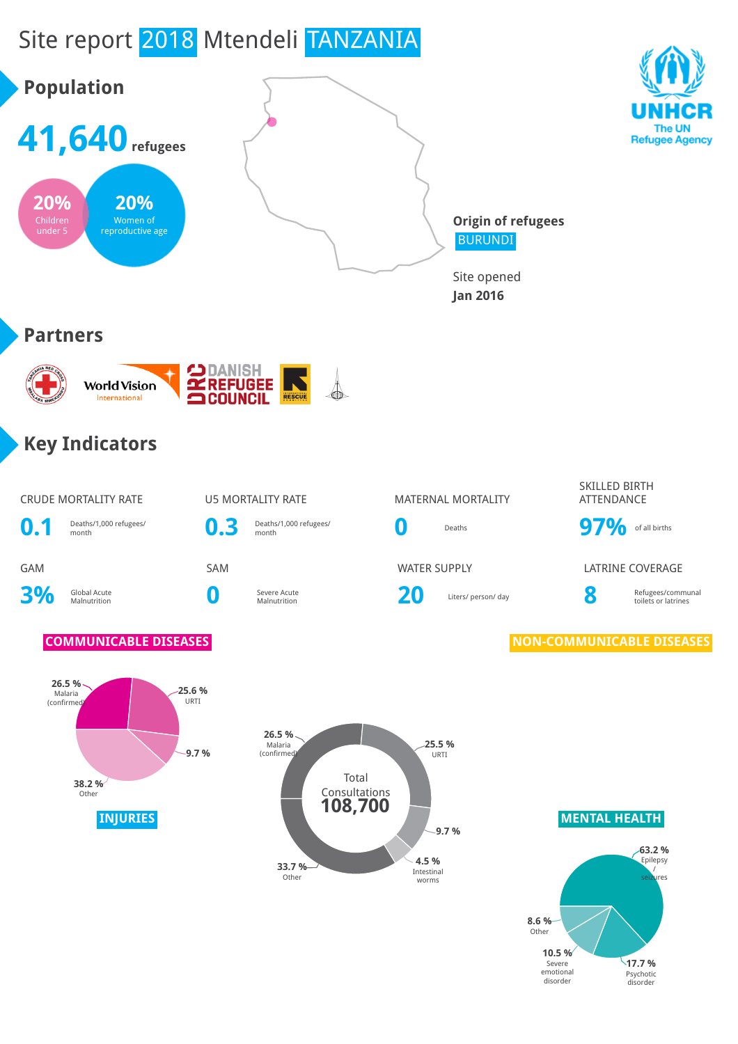

disorder

disorder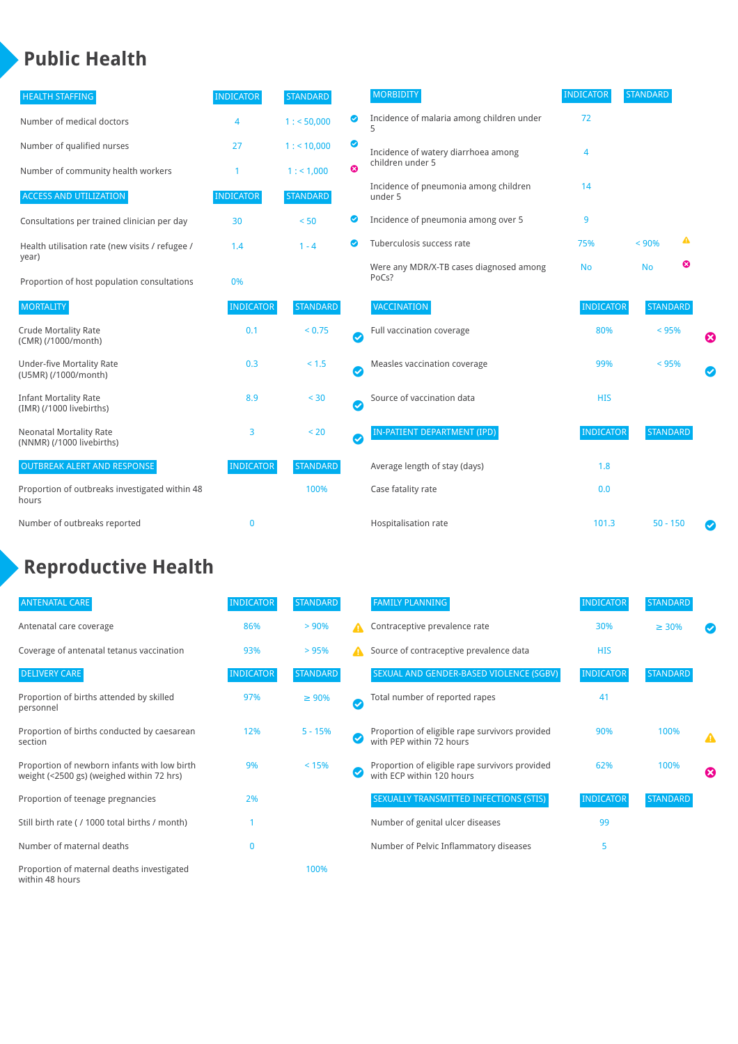## **Public Health**

| <b>HEALTH STAFFING</b>                                      | <b>INDICATOR</b> | <b>STANDARD</b> |           | <b>MORBIDITY</b>                                 | <b>INDICATOR</b> | <b>STANDARD</b> |   |   |
|-------------------------------------------------------------|------------------|-----------------|-----------|--------------------------------------------------|------------------|-----------------|---|---|
| Number of medical doctors                                   | 4                | 1: 50,000       | ◉         | Incidence of malaria among children under<br>5   | 72               |                 |   |   |
| Number of qualified nurses                                  | 27               | $1:$ < 10,000   | ◎         | Incidence of watery diarrhoea among              | 4                |                 |   |   |
| Number of community health workers                          | 1                | 1: 1,000        | ೞ         | children under 5                                 |                  |                 |   |   |
| <b>ACCESS AND UTILIZATION</b>                               | <b>INDICATOR</b> | <b>STANDARD</b> |           | Incidence of pneumonia among children<br>under 5 | 14               |                 |   |   |
| Consultations per trained clinician per day                 | 30               | < 50            | Ø         | Incidence of pneumonia among over 5              | 9                |                 |   |   |
| Health utilisation rate (new visits / refugee /             | 1.4              | $1 - 4$         |           | Tuberculosis success rate                        | 75%              | < 90%           | ▲ |   |
| year)<br>Proportion of host population consultations        | 0%               |                 |           | Were any MDR/X-TB cases diagnosed among<br>PoCs? | <b>No</b>        | <b>No</b>       | ఴ |   |
| <b>MORTALITY</b>                                            | <b>INDICATOR</b> | <b>STANDARD</b> |           | VACCINATION                                      | <b>INDICATOR</b> | <b>STANDARD</b> |   |   |
| <b>Crude Mortality Rate</b><br>(CMR) (/1000/month)          | 0.1              | < 0.75          | $\bullet$ | Full vaccination coverage                        | 80%              | < 95%           |   | Ø |
| <b>Under-five Mortality Rate</b><br>(U5MR) (/1000/month)    | 0.3              | $< 1.5$         | Ø         | Measles vaccination coverage                     | 99%              | < 95%           |   | Ø |
| <b>Infant Mortality Rate</b><br>(IMR) (/1000 livebirths)    | 8.9              | < 30            | $\bullet$ | Source of vaccination data                       | <b>HIS</b>       |                 |   |   |
| <b>Neonatal Mortality Rate</b><br>(NNMR) (/1000 livebirths) | 3                | < 20            | $\bullet$ | <b>IN-PATIENT DEPARTMENT (IPD)</b>               | <b>INDICATOR</b> | <b>STANDARD</b> |   |   |
| <b>OUTBREAK ALERT AND RESPONSE</b>                          | <b>INDICATOR</b> | <b>STANDARD</b> |           | Average length of stay (days)                    | 1.8              |                 |   |   |
| Proportion of outbreaks investigated within 48<br>hours     |                  | 100%            |           | Case fatality rate                               | 0.0              |                 |   |   |
| Number of outbreaks reported                                | $\mathbf{0}$     |                 |           | Hospitalisation rate                             | 101.3            | $50 - 150$      |   |   |

# **Reproductive Health**

| <b>ANTENATAL CARE</b>                                                                     | <b>INDICATOR</b> | <b>STANDARD</b> |   | <b>FAMILY PLANNING</b>                                                      | <b>INDICATOR</b> | <b>STANDARD</b> |                       |
|-------------------------------------------------------------------------------------------|------------------|-----------------|---|-----------------------------------------------------------------------------|------------------|-----------------|-----------------------|
| Antenatal care coverage                                                                   | 86%              | > 90%           | A | Contraceptive prevalence rate                                               | 30%              | $\geq 30\%$     |                       |
| Coverage of antenatal tetanus vaccination                                                 | 93%              | >95%            | А | Source of contraceptive prevalence data                                     | <b>HIS</b>       |                 |                       |
| <b>DELIVERY CARE</b>                                                                      | <b>INDICATOR</b> | <b>STANDARD</b> |   | SEXUAL AND GENDER-BASED VIOLENCE (SGBV)                                     | <b>INDICATOR</b> | STANDARD        |                       |
| Proportion of births attended by skilled<br>personnel                                     | 97%              | $\geq 90\%$     | Ø | Total number of reported rapes                                              | 41               |                 |                       |
| Proportion of births conducted by caesarean<br>section                                    | 12%              | $5 - 15%$       |   | Proportion of eligible rape survivors provided<br>with PEP within 72 hours  | 90%              | 100%            | Δ                     |
| Proportion of newborn infants with low birth<br>weight (<2500 gs) (weighed within 72 hrs) | 9%               | < 15%           |   | Proportion of eligible rape survivors provided<br>with ECP within 120 hours | 62%              | 100%            | $\boldsymbol{\Omega}$ |
| Proportion of teenage pregnancies                                                         | 2%               |                 |   | SEXUALLY TRANSMITTED INFECTIONS (STIS)                                      | <b>INDICATOR</b> | <b>STANDARD</b> |                       |
| Still birth rate (/ 1000 total births / month)                                            |                  |                 |   | Number of genital ulcer diseases                                            | 99               |                 |                       |
| Number of maternal deaths                                                                 | 0                |                 |   | Number of Pelvic Inflammatory diseases                                      | 5                |                 |                       |
| Proportion of maternal deaths investigated<br>within 48 hours                             |                  | 100%            |   |                                                                             |                  |                 |                       |